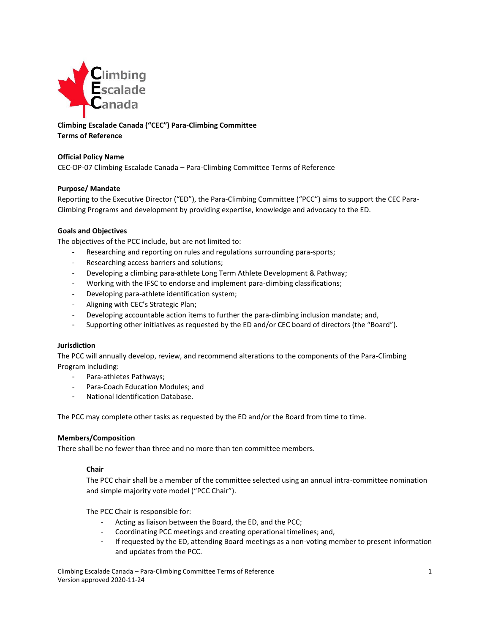

# **Climbing Escalade Canada ("CEC") Para-Climbing Committee Terms of Reference**

## **Official Policy Name**

CEC-OP-07 Climbing Escalade Canada – Para-Climbing Committee Terms of Reference

#### **Purpose/ Mandate**

Reporting to the Executive Director ("ED"), the Para-Climbing Committee ("PCC") aims to support the CEC Para-Climbing Programs and development by providing expertise, knowledge and advocacy to the ED.

### **Goals and Objectives**

The objectives of the PCC include, but are not limited to:

- Researching and reporting on rules and regulations surrounding para-sports;
- Researching access barriers and solutions;
- Developing a climbing para-athlete Long Term Athlete Development & Pathway;
- Working with the IFSC to endorse and implement para-climbing classifications;
- Developing para-athlete identification system;
- Aligning with CEC's Strategic Plan;
- Developing accountable action items to further the para-climbing inclusion mandate; and,
- Supporting other initiatives as requested by the ED and/or CEC board of directors (the "Board").

#### **Jurisdiction**

The PCC will annually develop, review, and recommend alterations to the components of the Para-Climbing Program including:

- Para-athletes Pathways;
- Para-Coach Education Modules; and
- National Identification Database.

The PCC may complete other tasks as requested by the ED and/or the Board from time to time.

#### **Members/Composition**

There shall be no fewer than three and no more than ten committee members.

#### **Chair**

The PCC chair shall be a member of the committee selected using an annual intra-committee nomination and simple majority vote model ("PCC Chair").

The PCC Chair is responsible for:

- Acting as liaison between the Board, the ED, and the PCC;
- Coordinating PCC meetings and creating operational timelines; and,
- If requested by the ED, attending Board meetings as a non-voting member to present information and updates from the PCC.

Climbing Escalade Canada – Para-Climbing Committee Terms of Reference 1 Version approved 2020-11-24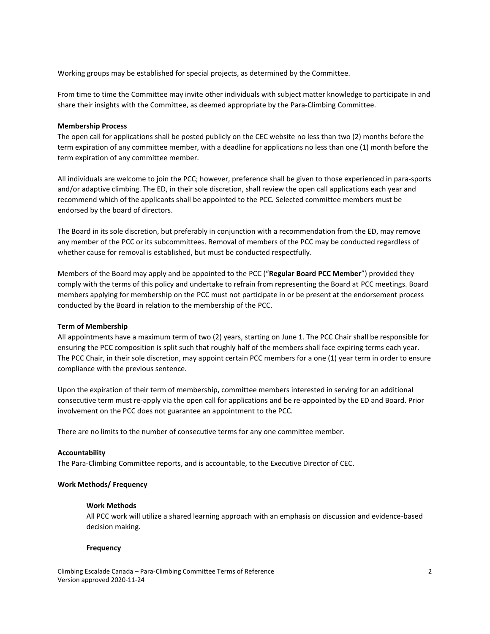Working groups may be established for special projects, as determined by the Committee.

From time to time the Committee may invite other individuals with subject matter knowledge to participate in and share their insights with the Committee, as deemed appropriate by the Para-Climbing Committee.

#### **Membership Process**

The open call for applications shall be posted publicly on the CEC website no less than two (2) months before the term expiration of any committee member, with a deadline for applications no less than one (1) month before the term expiration of any committee member.

All individuals are welcome to join the PCC; however, preference shall be given to those experienced in para-sports and/or adaptive climbing. The ED, in their sole discretion, shall review the open call applications each year and recommend which of the applicants shall be appointed to the PCC. Selected committee members must be endorsed by the board of directors.

The Board in its sole discretion, but preferably in conjunction with a recommendation from the ED, may remove any member of the PCC or its subcommittees. Removal of members of the PCC may be conducted regardless of whether cause for removal is established, but must be conducted respectfully.

Members of the Board may apply and be appointed to the PCC ("**Regular Board PCC Member**") provided they comply with the terms of this policy and undertake to refrain from representing the Board at PCC meetings. Board members applying for membership on the PCC must not participate in or be present at the endorsement process conducted by the Board in relation to the membership of the PCC.

#### **Term of Membership**

All appointments have a maximum term of two (2) years, starting on June 1. The PCC Chair shall be responsible for ensuring the PCC composition is split such that roughly half of the members shall face expiring terms each year. The PCC Chair, in their sole discretion, may appoint certain PCC members for a one (1) year term in order to ensure compliance with the previous sentence.

Upon the expiration of their term of membership, committee members interested in serving for an additional consecutive term must re-apply via the open call for applications and be re-appointed by the ED and Board. Prior involvement on the PCC does not guarantee an appointment to the PCC.

There are no limits to the number of consecutive terms for any one committee member.

#### **Accountability**

The Para-Climbing Committee reports, and is accountable, to the Executive Director of CEC.

#### **Work Methods/ Frequency**

#### **Work Methods**

All PCC work will utilize a shared learning approach with an emphasis on discussion and evidence-based decision making.

#### **Frequency**

Climbing Escalade Canada – Para-Climbing Committee Terms of Reference 2 Version approved 2020-11-24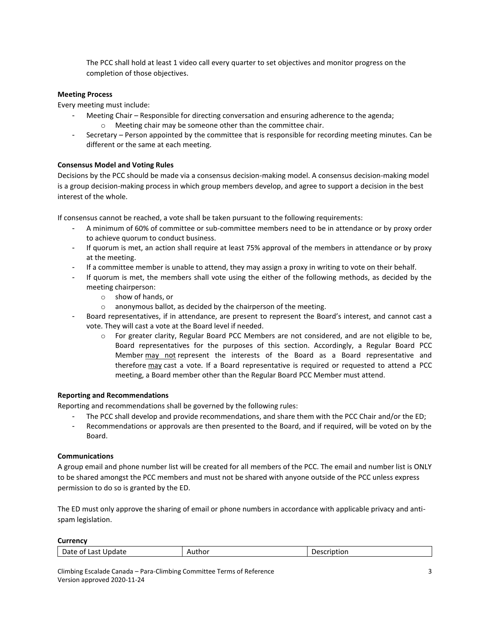The PCC shall hold at least 1 video call every quarter to set objectives and monitor progress on the completion of those objectives.

# **Meeting Process**

Every meeting must include:

- Meeting Chair Responsible for directing conversation and ensuring adherence to the agenda;
	- o Meeting chair may be someone other than the committee chair.
- Secretary Person appointed by the committee that is responsible for recording meeting minutes. Can be different or the same at each meeting.

### **Consensus Model and Voting Rules**

Decisions by the PCC should be made via a consensus decision-making model. A consensus decision-making model is a group decision-making process in which group members develop, and agree to support a decision in the best interest of the whole.

If consensus cannot be reached, a vote shall be taken pursuant to the following requirements:

- A minimum of 60% of committee or sub-committee members need to be in attendance or by proxy order to achieve quorum to conduct business.
- If quorum is met, an action shall require at least 75% approval of the members in attendance or by proxy at the meeting.
- If a committee member is unable to attend, they may assign a proxy in writing to vote on their behalf.
- If quorum is met, the members shall vote using the either of the following methods, as decided by the meeting chairperson:
	- o show of hands, or
	- o anonymous ballot, as decided by the chairperson of the meeting.
- Board representatives, if in attendance, are present to represent the Board's interest, and cannot cast a vote. They will cast a vote at the Board level if needed.
	- $\circ$  For greater clarity, Regular Board PCC Members are not considered, and are not eligible to be, Board representatives for the purposes of this section. Accordingly, a Regular Board PCC Member may not represent the interests of the Board as a Board representative and therefore may cast a vote. If a Board representative is required or requested to attend a PCC meeting, a Board member other than the Regular Board PCC Member must attend.

#### **Reporting and Recommendations**

Reporting and recommendations shall be governed by the following rules:

- The PCC shall develop and provide recommendations, and share them with the PCC Chair and/or the ED;
- Recommendations or approvals are then presented to the Board, and if required, will be voted on by the Board.

#### **Communications**

A group email and phone number list will be created for all members of the PCC. The email and number list is ONLY to be shared amongst the PCC members and must not be shared with anyone outside of the PCC unless express permission to do so is granted by the ED.

The ED must only approve the sharing of email or phone numbers in accordance with applicable privacy and antispam legislation.

**Currency**

| -<br>Indstr<br>.<br>- -<br>U.<br>лате<br>uudit<br><b>ANL</b><br>.<br>$\sim$<br>.<br>. | ____ | ----<br>tior.<br>. .<br>``<br>___<br>___ |
|---------------------------------------------------------------------------------------|------|------------------------------------------|
|---------------------------------------------------------------------------------------|------|------------------------------------------|

Climbing Escalade Canada – Para-Climbing Committee Terms of Reference 3 Version approved 2020-11-24